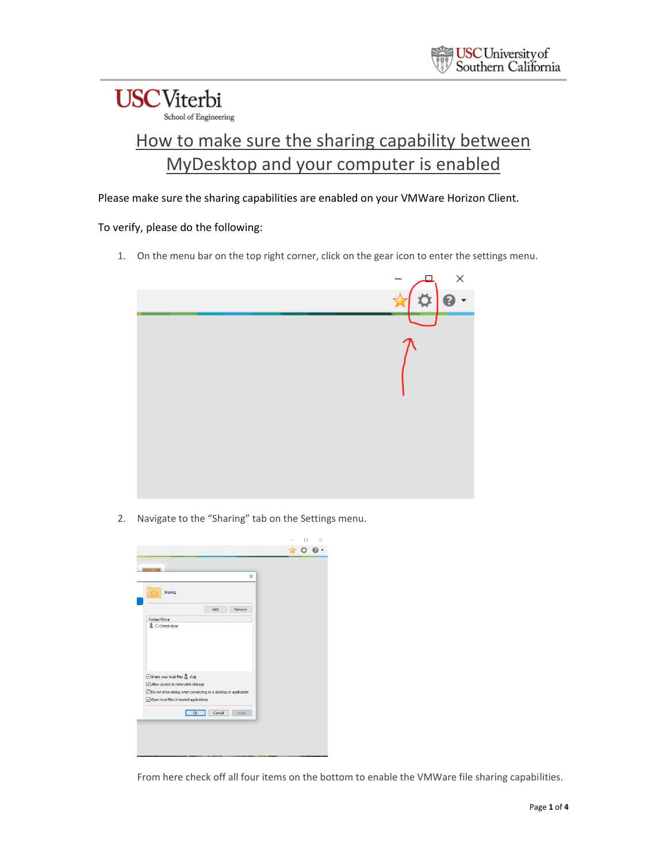### **USC**Viterbi School of Engineering

### How to make sure the sharing capability between MyDesktop and your computer is enabled

Please make sure the sharing capabilities are enabled on your VMWare Horizon Client.

#### To verify, please do the following:

1. On the menu bar on the top right corner, click on the gear icon to enter the settings menu.



2. Navigate to the "Sharing" tab on the Settings menu.

|                                                                                                           |  | ×                       |
|-----------------------------------------------------------------------------------------------------------|--|-------------------------|
|                                                                                                           |  | $\star$ $\circ$ $\circ$ |
| $\times$                                                                                                  |  |                         |
| Sharing                                                                                                   |  |                         |
| Add<br>Remove                                                                                             |  |                         |
| Folder/Drive<br>C:\Users\dyip                                                                             |  |                         |
| Share your local files & dyip                                                                             |  |                         |
| Allow access to removable storage                                                                         |  |                         |
| Do not show dialog when connecting to a desktop or application<br>Open local files in hosted applications |  |                         |
| Cancel<br>OK<br>Apply                                                                                     |  |                         |
|                                                                                                           |  |                         |
|                                                                                                           |  |                         |
|                                                                                                           |  |                         |

From here check off all four items on the bottom to enable the VMWare file sharing capabilities.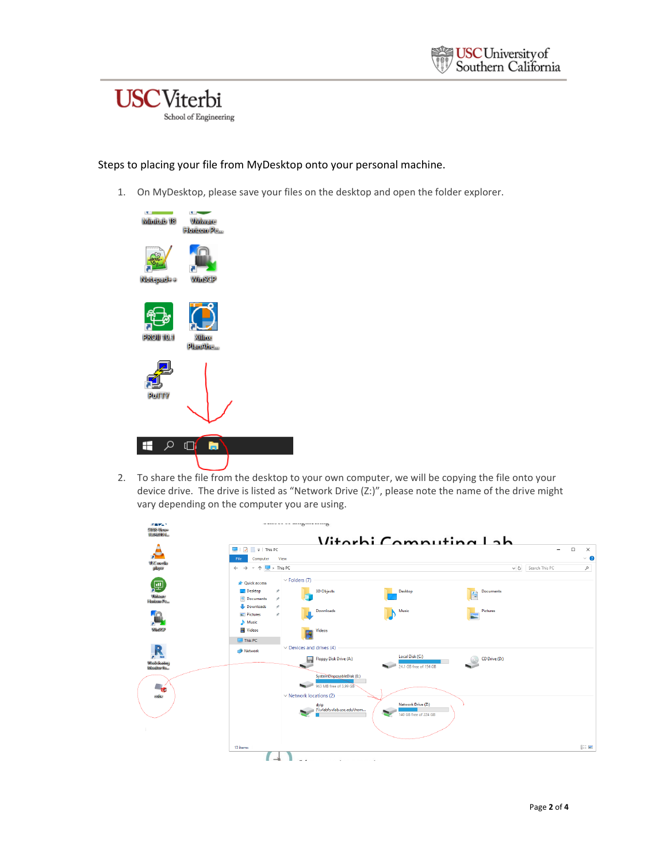



#### Steps to placing your file from MyDesktop onto your personal machine.

1. On MyDesktop, please save your files on the desktop and open the folder explorer.



2. To share the file from the desktop to your own computer, we will be copying the file onto your device drive. The drive is listed as "Network Drive (Z:)", please note the name of the drive might vary depending on the computer you are using.

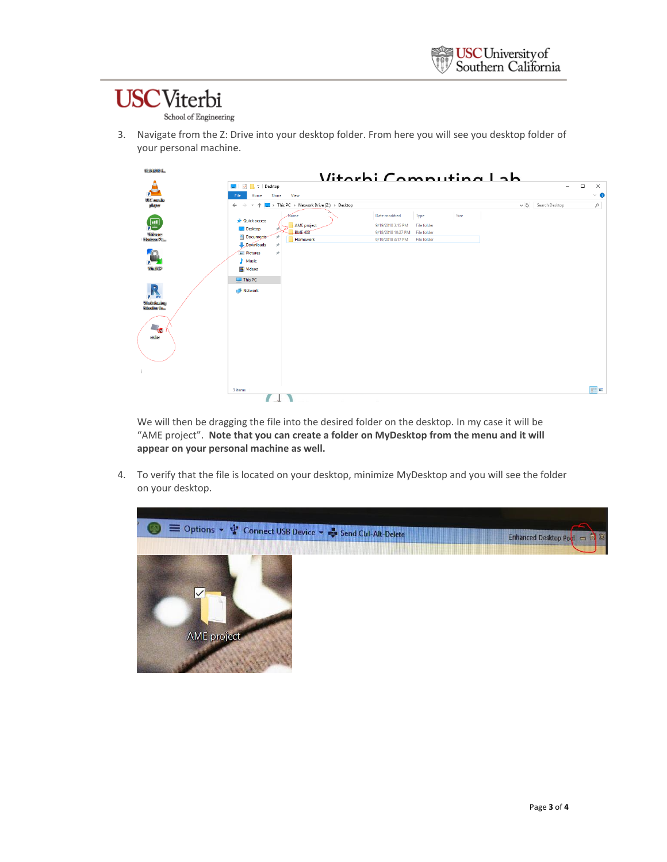# **USC**Viterbi

School of Engineering

3. Navigate from the Z: Drive into your desktop folder. From here you will see you desktop folder of your personal machine.



We will then be dragging the file into the desired folder on the desktop. In my case it will be "AME project". **Note that you can create a folder on MyDesktop from the menu and it will appear on your personal machine as well.**

4. To verify that the file is located on your desktop, minimize MyDesktop and you will see the folder on your desktop.